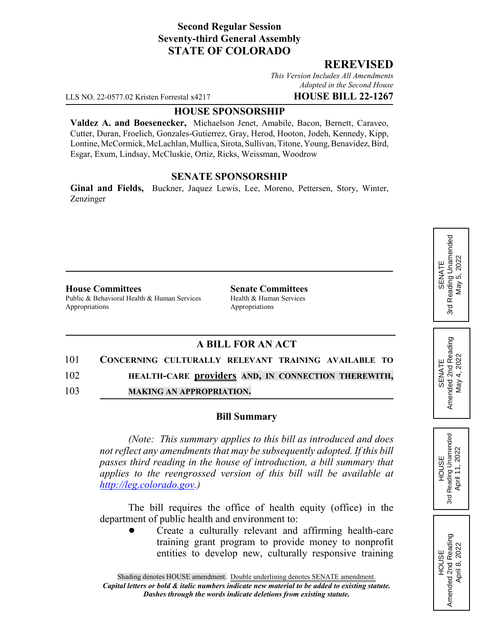## **Second Regular Session Seventy-third General Assembly STATE OF COLORADO**

## **REREVISED**

*This Version Includes All Amendments Adopted in the Second House*

LLS NO. 22-0577.02 Kristen Forrestal x4217 **HOUSE BILL 22-1267**

### **HOUSE SPONSORSHIP**

**Valdez A. and Boesenecker,** Michaelson Jenet, Amabile, Bacon, Bernett, Caraveo, Cutter, Duran, Froelich, Gonzales-Gutierrez, Gray, Herod, Hooton, Jodeh, Kennedy, Kipp, Lontine, McCormick, McLachlan, Mullica, Sirota, Sullivan, Titone, Young, Benavidez, Bird, Esgar, Exum, Lindsay, McCluskie, Ortiz, Ricks, Weissman, Woodrow

## **SENATE SPONSORSHIP**

**Ginal and Fields,** Buckner, Jaquez Lewis, Lee, Moreno, Pettersen, Story, Winter, Zenzinger

#### **House Committees Senate Committees**

Public & Behavioral Health & Human Services Health & Human Services Appropriations Appropriations

# **A BILL FOR AN ACT**

#### 101 **CONCERNING CULTURALLY RELEVANT TRAINING AVAILABLE TO**

102 **HEALTH-CARE providers AND, IN CONNECTION THEREWITH,**

103 **MAKING AN APPROPRIATION.**

## **Bill Summary**

*(Note: This summary applies to this bill as introduced and does not reflect any amendments that may be subsequently adopted. If this bill passes third reading in the house of introduction, a bill summary that applies to the reengrossed version of this bill will be available at http://leg.colorado.gov.)*

The bill requires the office of health equity (office) in the department of public health and environment to:

! Create a culturally relevant and affirming health-care training grant program to provide money to nonprofit entities to develop new, culturally responsive training SENATE<br>Reading Unamended 3rd Reading Unamended  $5,2022$ May 5, 2022 May ! 3rd

HOUSE<br>Reading Unamended<br>April 11, 2022 3rd Reading Unamended April 11, 2022

3rd

HOUSE Amended 2nd Reading April 8, 2022

Amended 2nd Reading<br>April 8, 2022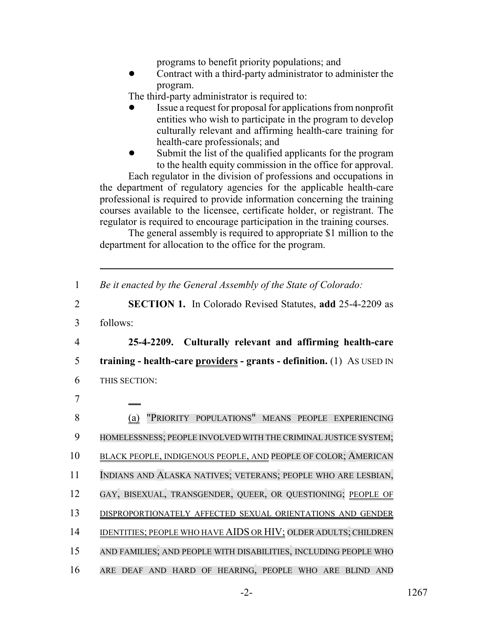programs to benefit priority populations; and

! Contract with a third-party administrator to administer the program.

The third-party administrator is required to:

- ! Issue a request for proposal for applications from nonprofit entities who wish to participate in the program to develop culturally relevant and affirming health-care training for health-care professionals; and
- Submit the list of the qualified applicants for the program to the health equity commission in the office for approval.

Each regulator in the division of professions and occupations in the department of regulatory agencies for the applicable health-care professional is required to provide information concerning the training courses available to the licensee, certificate holder, or registrant. The regulator is required to encourage participation in the training courses.

The general assembly is required to appropriate \$1 million to the department for allocation to the office for the program.

|  |  |  |  | Be it enacted by the General Assembly of the State of Colorado: |
|--|--|--|--|-----------------------------------------------------------------|
|--|--|--|--|-----------------------------------------------------------------|

2 **SECTION 1.** In Colorado Revised Statutes, **add** 25-4-2209 as

3 follows:

4 **25-4-2209. Culturally relevant and affirming health-care** 5 **training - health-care providers - grants - definition.** (1) AS USED IN

- 6 THIS SECTION:
- 7
- 8 (a) "PRIORITY POPULATIONS" MEANS PEOPLE EXPERIENCING 9 HOMELESSNESS; PEOPLE INVOLVED WITH THE CRIMINAL JUSTICE SYSTEM; 10 BLACK PEOPLE, INDIGENOUS PEOPLE, AND PEOPLE OF COLOR; AMERICAN 11 INDIANS AND ALASKA NATIVES; VETERANS; PEOPLE WHO ARE LESBIAN, 12 GAY, BISEXUAL, TRANSGENDER, QUEER, OR QUESTIONING; PEOPLE OF 13 DISPROPORTIONATELY AFFECTED SEXUAL ORIENTATIONS AND GENDER 14 IDENTITIES; PEOPLE WHO HAVE AIDS OR HIV; OLDER ADULTS; CHILDREN 15 AND FAMILIES; AND PEOPLE WITH DISABILITIES, INCLUDING PEOPLE WHO 16 ARE DEAF AND HARD OF HEARING, PEOPLE WHO ARE BLIND AND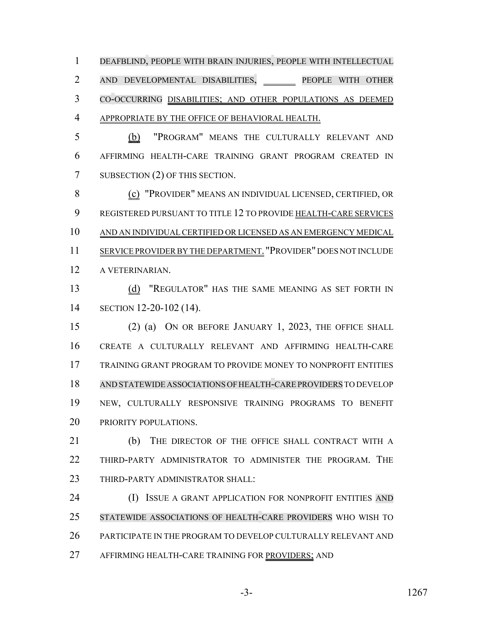DEAFBLIND, PEOPLE WITH BRAIN INJURIES, PEOPLE WITH INTELLECTUAL AND DEVELOPMENTAL DISABILITIES, PEOPLE WITH OTHER CO-OCCURRING DISABILITIES; AND OTHER POPULATIONS AS DEEMED APPROPRIATE BY THE OFFICE OF BEHAVIORAL HEALTH.

 (b) "PROGRAM" MEANS THE CULTURALLY RELEVANT AND AFFIRMING HEALTH-CARE TRAINING GRANT PROGRAM CREATED IN SUBSECTION (2) OF THIS SECTION.

 (c) "PROVIDER" MEANS AN INDIVIDUAL LICENSED, CERTIFIED, OR 9 REGISTERED PURSUANT TO TITLE 12 TO PROVIDE HEALTH-CARE SERVICES AND AN INDIVIDUAL CERTIFIED OR LICENSED AS AN EMERGENCY MEDICAL SERVICE PROVIDER BY THE DEPARTMENT. "PROVIDER" DOES NOT INCLUDE A VETERINARIAN.

 (d) "REGULATOR" HAS THE SAME MEANING AS SET FORTH IN SECTION 12-20-102 (14).

 (2) (a) ON OR BEFORE JANUARY 1, 2023, THE OFFICE SHALL CREATE A CULTURALLY RELEVANT AND AFFIRMING HEALTH-CARE TRAINING GRANT PROGRAM TO PROVIDE MONEY TO NONPROFIT ENTITIES AND STATEWIDE ASSOCIATIONS OFHEALTH-CARE PROVIDERS TO DEVELOP NEW, CULTURALLY RESPONSIVE TRAINING PROGRAMS TO BENEFIT 20 PRIORITY POPULATIONS.

21 (b) THE DIRECTOR OF THE OFFICE SHALL CONTRACT WITH A THIRD-PARTY ADMINISTRATOR TO ADMINISTER THE PROGRAM. THE 23 THIRD-PARTY ADMINISTRATOR SHALL:

**(I) ISSUE A GRANT APPLICATION FOR NONPROFIT ENTITIES AND**  STATEWIDE ASSOCIATIONS OF HEALTH-CARE PROVIDERS WHO WISH TO PARTICIPATE IN THE PROGRAM TO DEVELOP CULTURALLY RELEVANT AND AFFIRMING HEALTH-CARE TRAINING FOR PROVIDERS; AND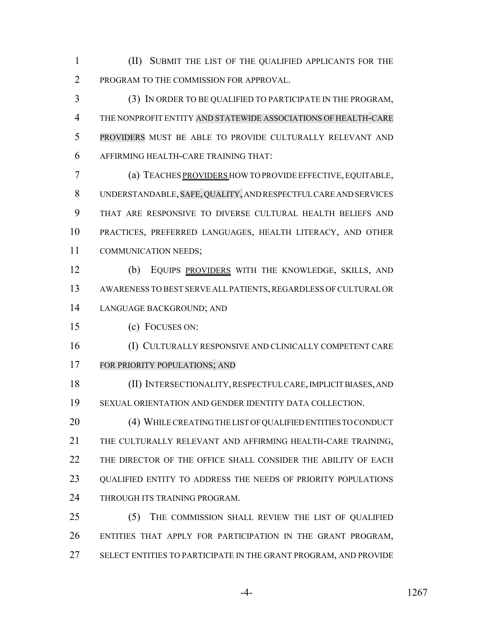(II) SUBMIT THE LIST OF THE QUALIFIED APPLICANTS FOR THE 2 PROGRAM TO THE COMMISSION FOR APPROVAL.

 (3) IN ORDER TO BE QUALIFIED TO PARTICIPATE IN THE PROGRAM, THE NONPROFIT ENTITY AND STATEWIDE ASSOCIATIONS OF HEALTH-CARE PROVIDERS MUST BE ABLE TO PROVIDE CULTURALLY RELEVANT AND AFFIRMING HEALTH-CARE TRAINING THAT:

 (a) TEACHES PROVIDERS HOW TO PROVIDE EFFECTIVE, EQUITABLE, UNDERSTANDABLE, SAFE, QUALITY, AND RESPECTFUL CARE AND SERVICES THAT ARE RESPONSIVE TO DIVERSE CULTURAL HEALTH BELIEFS AND PRACTICES, PREFERRED LANGUAGES, HEALTH LITERACY, AND OTHER COMMUNICATION NEEDS;

 (b) EQUIPS PROVIDERS WITH THE KNOWLEDGE, SKILLS, AND AWARENESS TO BEST SERVE ALL PATIENTS, REGARDLESS OF CULTURAL OR LANGUAGE BACKGROUND; AND

(c) FOCUSES ON:

 (I) CULTURALLY RESPONSIVE AND CLINICALLY COMPETENT CARE FOR PRIORITY POPULATIONS; AND

 (II) INTERSECTIONALITY, RESPECTFUL CARE, IMPLICIT BIASES, AND SEXUAL ORIENTATION AND GENDER IDENTITY DATA COLLECTION.

20 (4) WHILE CREATING THE LIST OF QUALIFIED ENTITIES TO CONDUCT THE CULTURALLY RELEVANT AND AFFIRMING HEALTH-CARE TRAINING, 22 THE DIRECTOR OF THE OFFICE SHALL CONSIDER THE ABILITY OF EACH QUALIFIED ENTITY TO ADDRESS THE NEEDS OF PRIORITY POPULATIONS 24 THROUGH ITS TRAINING PROGRAM.

 (5) THE COMMISSION SHALL REVIEW THE LIST OF QUALIFIED ENTITIES THAT APPLY FOR PARTICIPATION IN THE GRANT PROGRAM, SELECT ENTITIES TO PARTICIPATE IN THE GRANT PROGRAM, AND PROVIDE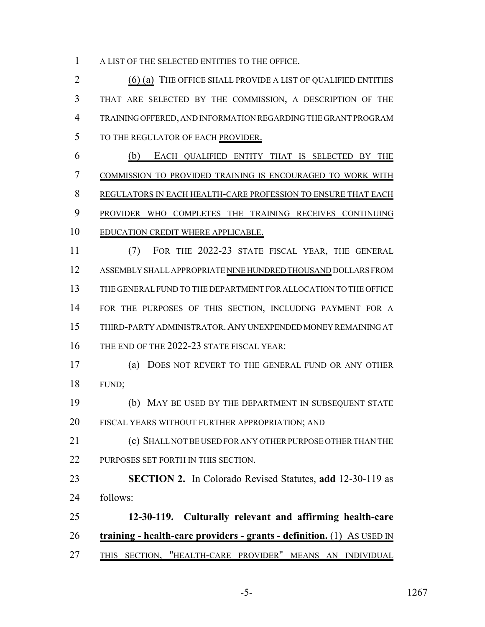A LIST OF THE SELECTED ENTITIES TO THE OFFICE.

2 (6) (a) THE OFFICE SHALL PROVIDE A LIST OF QUALIFIED ENTITIES THAT ARE SELECTED BY THE COMMISSION, A DESCRIPTION OF THE TRAINING OFFERED, AND INFORMATION REGARDING THE GRANT PROGRAM TO THE REGULATOR OF EACH PROVIDER.

 (b) EACH QUALIFIED ENTITY THAT IS SELECTED BY THE COMMISSION TO PROVIDED TRAINING IS ENCOURAGED TO WORK WITH REGULATORS IN EACH HEALTH-CARE PROFESSION TO ENSURE THAT EACH PROVIDER WHO COMPLETES THE TRAINING RECEIVES CONTINUING EDUCATION CREDIT WHERE APPLICABLE.

 (7) FOR THE 2022-23 STATE FISCAL YEAR, THE GENERAL ASSEMBLY SHALL APPROPRIATE NINE HUNDRED THOUSAND DOLLARS FROM THE GENERAL FUND TO THE DEPARTMENT FOR ALLOCATION TO THE OFFICE FOR THE PURPOSES OF THIS SECTION, INCLUDING PAYMENT FOR A THIRD-PARTY ADMINISTRATOR.ANY UNEXPENDED MONEY REMAINING AT 16 THE END OF THE 2022-23 STATE FISCAL YEAR:

 (a) DOES NOT REVERT TO THE GENERAL FUND OR ANY OTHER FUND;

 (b) MAY BE USED BY THE DEPARTMENT IN SUBSEQUENT STATE 20 FISCAL YEARS WITHOUT FURTHER APPROPRIATION; AND

 (c) SHALL NOT BE USED FOR ANY OTHER PURPOSE OTHER THAN THE 22 PURPOSES SET FORTH IN THIS SECTION.

 **SECTION 2.** In Colorado Revised Statutes, **add** 12-30-119 as follows:

 **12-30-119. Culturally relevant and affirming health-care training - health-care providers - grants - definition.** (1) AS USED IN THIS SECTION, "HEALTH-CARE PROVIDER" MEANS AN INDIVIDUAL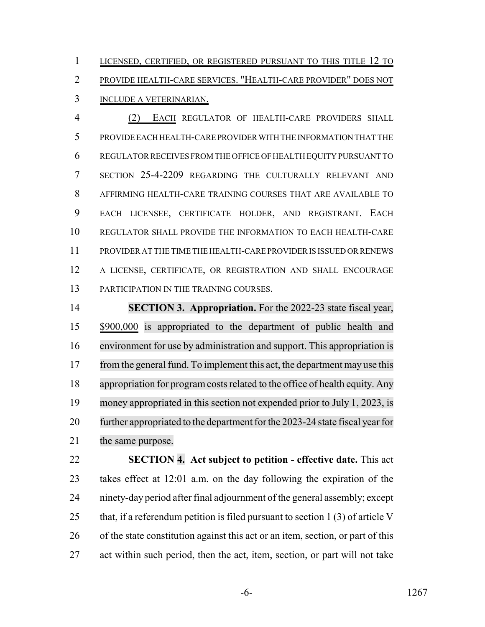1 LICENSED, CERTIFIED, OR REGISTERED PURSUANT TO THIS TITLE 12 TO PROVIDE HEALTH-CARE SERVICES. "HEALTH-CARE PROVIDER" DOES NOT INCLUDE A VETERINARIAN.

 (2) EACH REGULATOR OF HEALTH-CARE PROVIDERS SHALL PROVIDE EACH HEALTH-CARE PROVIDER WITH THE INFORMATION THAT THE REGULATOR RECEIVES FROM THE OFFICE OF HEALTH EQUITY PURSUANT TO SECTION 25-4-2209 REGARDING THE CULTURALLY RELEVANT AND AFFIRMING HEALTH-CARE TRAINING COURSES THAT ARE AVAILABLE TO EACH LICENSEE, CERTIFICATE HOLDER, AND REGISTRANT. EACH REGULATOR SHALL PROVIDE THE INFORMATION TO EACH HEALTH-CARE PROVIDER AT THE TIME THE HEALTH-CARE PROVIDER IS ISSUED OR RENEWS A LICENSE, CERTIFICATE, OR REGISTRATION AND SHALL ENCOURAGE PARTICIPATION IN THE TRAINING COURSES.

 **SECTION 3. Appropriation.** For the 2022-23 state fiscal year, \$900,000 is appropriated to the department of public health and environment for use by administration and support. This appropriation is 17 from the general fund. To implement this act, the department may use this 18 appropriation for program costs related to the office of health equity. Any money appropriated in this section not expended prior to July 1, 2023, is 20 further appropriated to the department for the 2023-24 state fiscal year for 21 the same purpose.

 **SECTION 4. Act subject to petition - effective date.** This act takes effect at 12:01 a.m. on the day following the expiration of the ninety-day period after final adjournment of the general assembly; except 25 that, if a referendum petition is filed pursuant to section 1 (3) of article V of the state constitution against this act or an item, section, or part of this act within such period, then the act, item, section, or part will not take